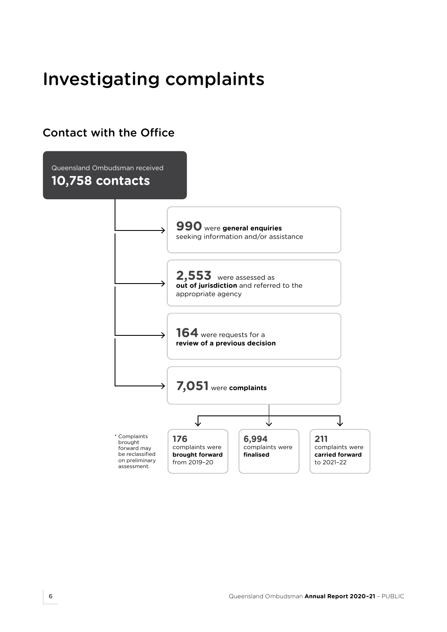# Investigating complaints

# Contact with the Office

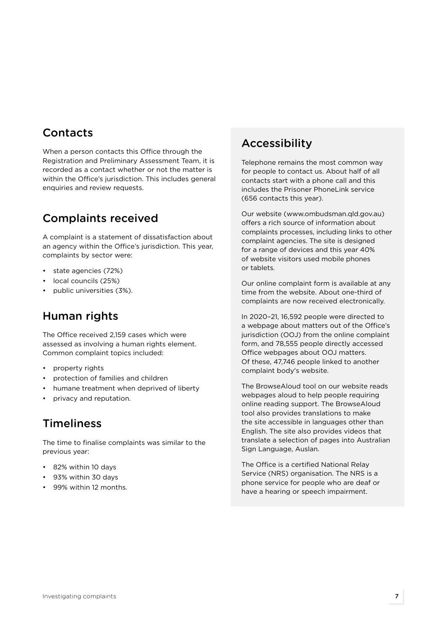# **Contacts**

When a person contacts this Office through the Registration and Preliminary Assessment Team, it is recorded as a contact whether or not the matter is within the Office's jurisdiction. This includes general enquiries and review requests.

# Complaints received

A complaint is a statement of dissatisfaction about an agency within the Office's jurisdiction. This year, complaints by sector were:

- state agencies (72%)
- local councils (25%)
- public universities (3%).

#### Human rights

The Office received 2,159 cases which were assessed as involving a human rights element. Common complaint topics included:

- property rights
- protection of families and children
- humane treatment when deprived of liberty
- privacy and reputation.

#### **Timeliness**

The time to finalise complaints was similar to the previous year:

- 82% within 10 days
- 93% within 30 days
- 99% within 12 months.

### Accessibility

Telephone remains the most common way for people to contact us. About half of all contacts start with a phone call and this includes the Prisoner PhoneLink service (656 contacts this year).

Our website ([www.ombudsman.qld.gov.au](https://www.ombudsman.qld.gov.au/)) offers a rich source of information about complaints processes, including links to other complaint agencies. The site is designed for a range of devices and this year 40% of website visitors used mobile phones or tablets.

Our online complaint form is available at any time from the website. About one-third of complaints are now received electronically.

In 2020–21, 16,592 people were directed to a webpage about matters out of the Office's jurisdiction (OOJ) from the online complaint form, and 78,555 people directly accessed Office webpages about OOJ matters. Of these, 47,746 people linked to another complaint body's website.

The BrowseAloud tool on our website reads webpages aloud to help people requiring online reading support. The BrowseAloud tool also provides translations to make the site accessible in languages other than English. The site also provides videos that translate a selection of pages into Australian Sign Language, Auslan.

The Office is a certified National Relay Service (NRS) organisation. The NRS is a phone service for people who are deaf or have a hearing or speech impairment.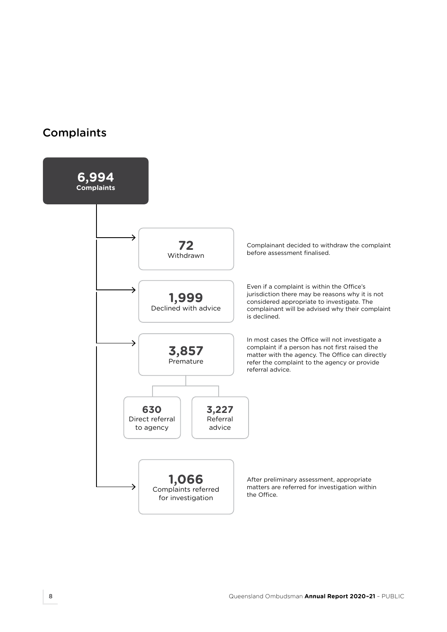### **Complaints**

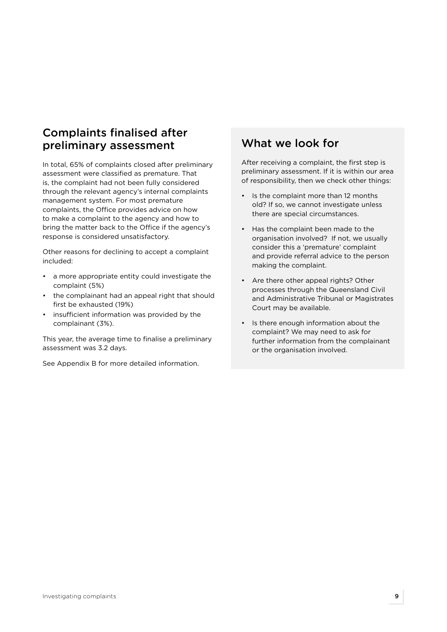## Complaints finalised after preliminary assessment

In total, 65% of complaints closed after preliminary assessment were classified as premature. That is, the complaint had not been fully considered through the relevant agency's internal complaints management system. For most premature complaints, the Office provides advice on how to make a complaint to the agency and how to bring the matter back to the Office if the agency's response is considered unsatisfactory.

Other reasons for declining to accept a complaint included:

- a more appropriate entity could investigate the complaint (5%)
- the complainant had an appeal right that should first be exhausted (19%)
- insufficient information was provided by the complainant (3%).

This year, the average time to finalise a preliminary assessment was 3.2 days.

See Appendix B for more detailed information.

# What we look for

After receiving a complaint, the first step is preliminary assessment. If it is within our area of responsibility, then we check other things:

- Is the complaint more than 12 months old? If so, we cannot investigate unless there are special circumstances.
- Has the complaint been made to the organisation involved? If not, we usually consider this a 'premature' complaint and provide referral advice to the person making the complaint.
- Are there other appeal rights? Other processes through the Queensland Civil and Administrative Tribunal or Magistrates Court may be available.
- Is there enough information about the complaint? We may need to ask for further information from the complainant or the organisation involved.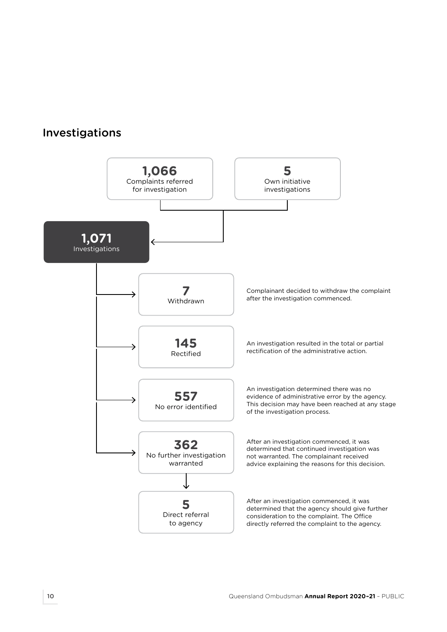